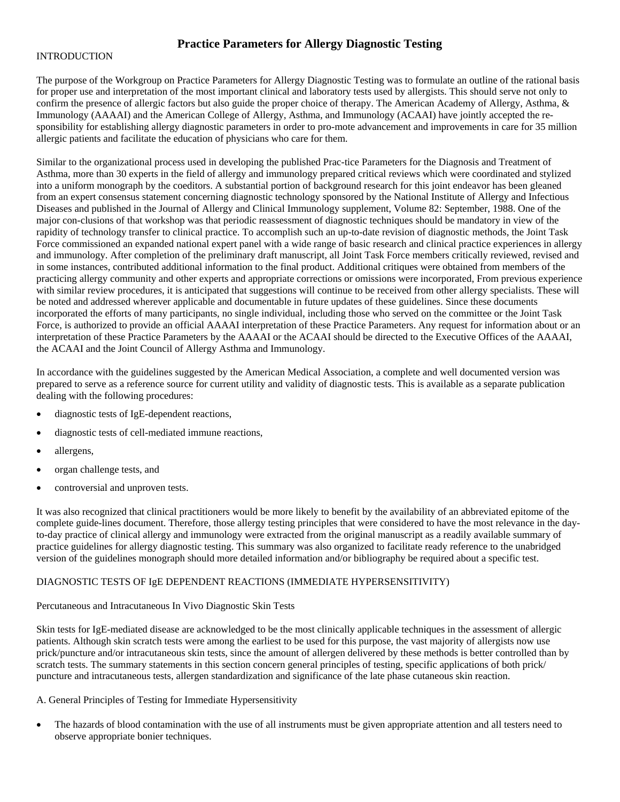# **Practice Parameters for Allergy Diagnostic Testing**

#### INTRODUCTION

The purpose of the Workgroup on Practice Parameters for Allergy Diagnostic Testing was to formulate an outline of the rational basis for proper use and interpretation of the most important clinical and laboratory tests used by allergists. This should serve not only to confirm the presence of allergic factors but also guide the proper choice of therapy. The American Academy of Allergy, Asthma, & Immunology (AAAAI) and the American College of Allergy, Asthma, and Immunology (ACAAI) have jointly accepted the responsibility for establishing allergy diagnostic parameters in order to pro-mote advancement and improvements in care for 35 million allergic patients and facilitate the education of physicians who care for them.

Similar to the organizational process used in developing the published Prac-tice Parameters for the Diagnosis and Treatment of Asthma, more than 30 experts in the field of allergy and immunology prepared critical reviews which were coordinated and stylized into a uniform monograph by the coeditors. A substantial portion of background research for this joint endeavor has been gleaned from an expert consensus statement concerning diagnostic technology sponsored by the National Institute of Allergy and Infectious Diseases and published in the Journal of Allergy and Clinical Immunology supplement, Volume 82: September, 1988. One of the major con-clusions of that workshop was that periodic reassessment of diagnostic techniques should be mandatory in view of the rapidity of technology transfer to clinical practice. To accomplish such an up-to-date revision of diagnostic methods, the Joint Task Force commissioned an expanded national expert panel with a wide range of basic research and clinical practice experiences in allergy and immunology. After completion of the preliminary draft manuscript, all Joint Task Force members critically reviewed, revised and in some instances, contributed additional information to the final product. Additional critiques were obtained from members of the practicing allergy community and other experts and appropriate corrections or omissions were incorporated, From previous experience with similar review procedures, it is anticipated that suggestions will continue to be received from other allergy specialists. These will be noted and addressed wherever applicable and documentable in future updates of these guidelines. Since these documents incorporated the efforts of many participants, no single individual, including those who served on the committee or the Joint Task Force, is authorized to provide an official AAAAI interpretation of these Practice Parameters. Any request for information about or an interpretation of these Practice Parameters by the AAAAI or the ACAAI should be directed to the Executive Offices of the AAAAI, the ACAAI and the Joint Council of Allergy Asthma and Immunology.

In accordance with the guidelines suggested by the American Medical Association, a complete and well documented version was prepared to serve as a reference source for current utility and validity of diagnostic tests. This is available as a separate publication dealing with the following procedures:

- diagnostic tests of IgE-dependent reactions,
- diagnostic tests of cell-mediated immune reactions,
- allergens,
- organ challenge tests, and
- controversial and unproven tests.

It was also recognized that clinical practitioners would be more likely to benefit by the availability of an abbreviated epitome of the complete guide-lines document. Therefore, those allergy testing principles that were considered to have the most relevance in the dayto-day practice of clinical allergy and immunology were extracted from the original manuscript as a readily available summary of practice guidelines for allergy diagnostic testing. This summary was also organized to facilitate ready reference to the unabridged version of the guidelines monograph should more detailed information and/or bibliography be required about a specific test.

#### DIAGNOSTIC TESTS OF IgE DEPENDENT REACTIONS (IMMEDIATE HYPERSENSITIVITY)

#### Percutaneous and Intracutaneous In Vivo Diagnostic Skin Tests

Skin tests for IgE-mediated disease are acknowledged to be the most clinically applicable techniques in the assessment of allergic patients. Although skin scratch tests were among the earliest to be used for this purpose, the vast majority of allergists now use prick/puncture and/or intracutaneous skin tests, since the amount of allergen delivered by these methods is better controlled than by scratch tests. The summary statements in this section concern general principles of testing, specific applications of both prick/ puncture and intracutaneous tests, allergen standardization and significance of the late phase cutaneous skin reaction.

A. General Principles of Testing for Immediate Hypersensitivity

• The hazards of blood contamination with the use of all instruments must be given appropriate attention and all testers need to observe appropriate bonier techniques.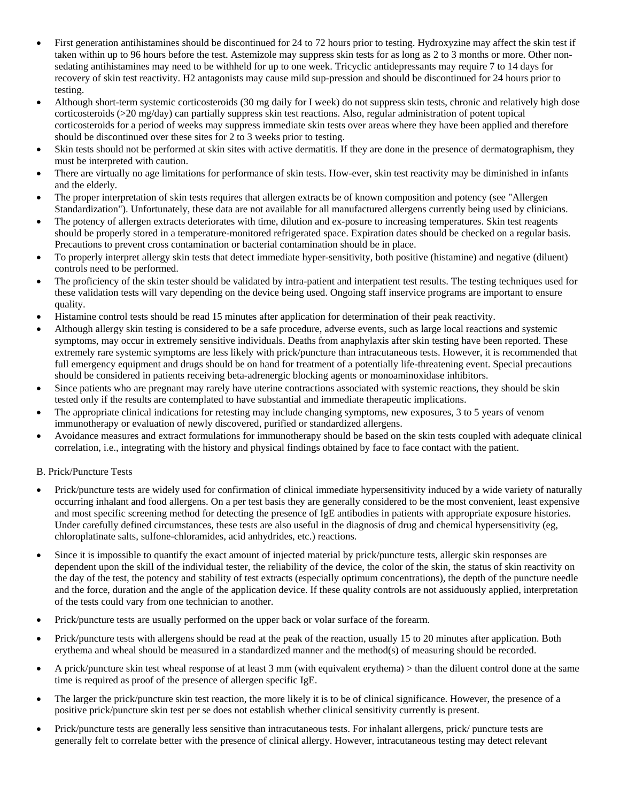- First generation antihistamines should be discontinued for 24 to 72 hours prior to testing. Hydroxyzine may affect the skin test if taken within up to 96 hours before the test. Astemizole may suppress skin tests for as long as 2 to 3 months or more. Other nonsedating antihistamines may need to be withheld for up to one week. Tricyclic antidepressants may require 7 to 14 days for recovery of skin test reactivity. H2 antagonists may cause mild sup-pression and should be discontinued for 24 hours prior to testing.
- Although short-term systemic corticosteroids (30 mg daily for I week) do not suppress skin tests, chronic and relatively high dose corticosteroids (>20 mg/day) can partially suppress skin test reactions. Also, regular administration of potent topical corticosteroids for a period of weeks may suppress immediate skin tests over areas where they have been applied and therefore should be discontinued over these sites for 2 to 3 weeks prior to testing.
- Skin tests should not be performed at skin sites with active dermatitis. If they are done in the presence of dermatographism, they must be interpreted with caution.
- There are virtually no age limitations for performance of skin tests. How-ever, skin test reactivity may be diminished in infants and the elderly.
- The proper interpretation of skin tests requires that allergen extracts be of known composition and potency (see "Allergen Standardization"). Unfortunately, these data are not available for all manufactured allergens currently being used by clinicians.
- The potency of allergen extracts deteriorates with time, dilution and ex-posure to increasing temperatures. Skin test reagents should be properly stored in a temperature-monitored refrigerated space. Expiration dates should be checked on a regular basis. Precautions to prevent cross contamination or bacterial contamination should be in place.
- To properly interpret allergy skin tests that detect immediate hyper-sensitivity, both positive (histamine) and negative (diluent) controls need to be performed.
- The proficiency of the skin tester should be validated by intra-patient and interpatient test results. The testing techniques used for these validation tests will vary depending on the device being used. Ongoing staff inservice programs are important to ensure quality.
- Histamine control tests should be read 15 minutes after application for determination of their peak reactivity.
- Although allergy skin testing is considered to be a safe procedure, adverse events, such as large local reactions and systemic symptoms, may occur in extremely sensitive individuals. Deaths from anaphylaxis after skin testing have been reported. These extremely rare systemic symptoms are less likely with prick/puncture than intracutaneous tests. However, it is recommended that full emergency equipment and drugs should be on hand for treatment of a potentially life-threatening event. Special precautions should be considered in patients receiving beta-adrenergic blocking agents or monoaminoxidase inhibitors.
- Since patients who are pregnant may rarely have uterine contractions associated with systemic reactions, they should be skin tested only if the results are contemplated to have substantial and immediate therapeutic implications.
- The appropriate clinical indications for retesting may include changing symptoms, new exposures, 3 to 5 years of venom immunotherapy or evaluation of newly discovered, purified or standardized allergens.
- Avoidance measures and extract formulations for immunotherapy should be based on the skin tests coupled with adequate clinical correlation, i.e., integrating with the history and physical findings obtained by face to face contact with the patient.

#### B. Prick/Puncture Tests

- Prick/puncture tests are widely used for confirmation of clinical immediate hypersensitivity induced by a wide variety of naturally occurring inhalant and food allergens. On a per test basis they are generally considered to be the most convenient, least expensive and most specific screening method for detecting the presence of IgE antibodies in patients with appropriate exposure histories. Under carefully defined circumstances, these tests are also useful in the diagnosis of drug and chemical hypersensitivity (eg, chloroplatinate salts, sulfone-chloramides, acid anhydrides, etc.) reactions.
- Since it is impossible to quantify the exact amount of injected material by prick/puncture tests, allergic skin responses are dependent upon the skill of the individual tester, the reliability of the device, the color of the skin, the status of skin reactivity on the day of the test, the potency and stability of test extracts (especially optimum concentrations), the depth of the puncture needle and the force, duration and the angle of the application device. If these quality controls are not assiduously applied, interpretation of the tests could vary from one technician to another.
- Prick/puncture tests are usually performed on the upper back or volar surface of the forearm.
- Prick/puncture tests with allergens should be read at the peak of the reaction, usually 15 to 20 minutes after application. Both erythema and wheal should be measured in a standardized manner and the method(s) of measuring should be recorded.
- A prick/puncture skin test wheal response of at least 3 mm (with equivalent erythema) > than the diluent control done at the same time is required as proof of the presence of allergen specific IgE.
- The larger the prick/puncture skin test reaction, the more likely it is to be of clinical significance. However, the presence of a positive prick/puncture skin test per se does not establish whether clinical sensitivity currently is present.
- Prick/puncture tests are generally less sensitive than intracutaneous tests. For inhalant allergens, prick/ puncture tests are generally felt to correlate better with the presence of clinical allergy. However, intracutaneous testing may detect relevant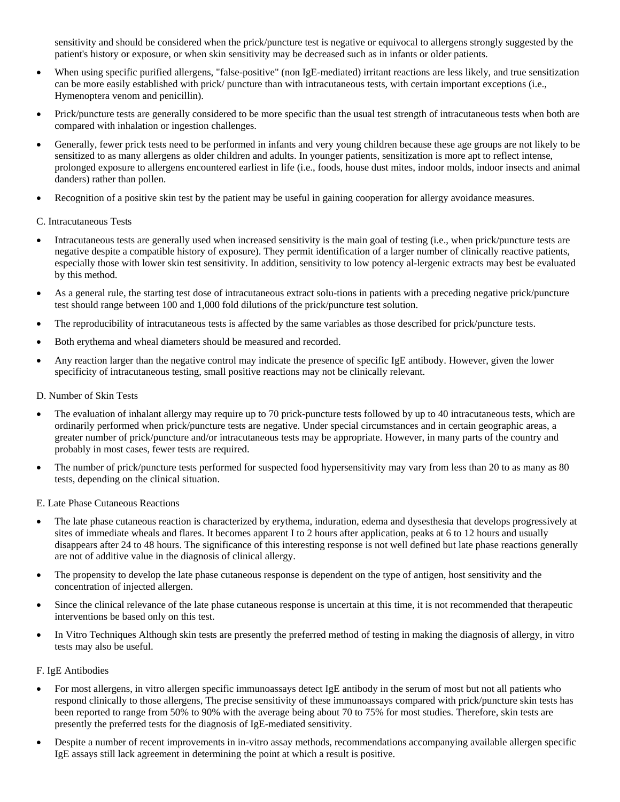sensitivity and should be considered when the prick/puncture test is negative or equivocal to allergens strongly suggested by the patient's history or exposure, or when skin sensitivity may be decreased such as in infants or older patients.

- When using specific purified allergens, "false-positive" (non IgE-mediated) irritant reactions are less likely, and true sensitization can be more easily established with prick/ puncture than with intracutaneous tests, with certain important exceptions (i.e., Hymenoptera venom and penicillin).
- Prick/puncture tests are generally considered to be more specific than the usual test strength of intracutaneous tests when both are compared with inhalation or ingestion challenges.
- Generally, fewer prick tests need to be performed in infants and very young children because these age groups are not likely to be sensitized to as many allergens as older children and adults. In younger patients, sensitization is more apt to reflect intense, prolonged exposure to allergens encountered earliest in life (i.e., foods, house dust mites, indoor molds, indoor insects and animal danders) rather than pollen.
- Recognition of a positive skin test by the patient may be useful in gaining cooperation for allergy avoidance measures.

#### C. Intracutaneous Tests

- Intracutaneous tests are generally used when increased sensitivity is the main goal of testing (i.e., when prick/puncture tests are negative despite a compatible history of exposure). They permit identification of a larger number of clinically reactive patients, especially those with lower skin test sensitivity. In addition, sensitivity to low potency al-lergenic extracts may best be evaluated by this method.
- As a general rule, the starting test dose of intracutaneous extract solu-tions in patients with a preceding negative prick/puncture test should range between 100 and 1,000 fold dilutions of the prick/puncture test solution.
- The reproducibility of intracutaneous tests is affected by the same variables as those described for prick/puncture tests.
- Both erythema and wheal diameters should be measured and recorded.
- Any reaction larger than the negative control may indicate the presence of specific IgE antibody. However, given the lower specificity of intracutaneous testing, small positive reactions may not be clinically relevant.

## D. Number of Skin Tests

- The evaluation of inhalant allergy may require up to 70 prick-puncture tests followed by up to 40 intracutaneous tests, which are ordinarily performed when prick/puncture tests are negative. Under special circumstances and in certain geographic areas, a greater number of prick/puncture and/or intracutaneous tests may be appropriate. However, in many parts of the country and probably in most cases, fewer tests are required.
- The number of prick/puncture tests performed for suspected food hypersensitivity may vary from less than 20 to as many as 80 tests, depending on the clinical situation.

E. Late Phase Cutaneous Reactions

- The late phase cutaneous reaction is characterized by erythema, induration, edema and dysesthesia that develops progressively at sites of immediate wheals and flares. It becomes apparent I to 2 hours after application, peaks at 6 to 12 hours and usually disappears after 24 to 48 hours. The significance of this interesting response is not well defined but late phase reactions generally are not of additive value in the diagnosis of clinical allergy.
- The propensity to develop the late phase cutaneous response is dependent on the type of antigen, host sensitivity and the concentration of injected allergen.
- Since the clinical relevance of the late phase cutaneous response is uncertain at this time, it is not recommended that therapeutic interventions be based only on this test.
- In Vitro Techniques Although skin tests are presently the preferred method of testing in making the diagnosis of allergy, in vitro tests may also be useful.

#### F. IgE Antibodies

- For most allergens, in vitro allergen specific immunoassays detect IgE antibody in the serum of most but not all patients who respond clinically to those allergens, The precise sensitivity of these immunoassays compared with prick/puncture skin tests has been reported to range from 50% to 90% with the average being about 70 to 75% for most studies. Therefore, skin tests are presently the preferred tests for the diagnosis of IgE-mediated sensitivity.
- Despite a number of recent improvements in in-vitro assay methods, recommendations accompanying available allergen specific IgE assays still lack agreement in determining the point at which a result is positive.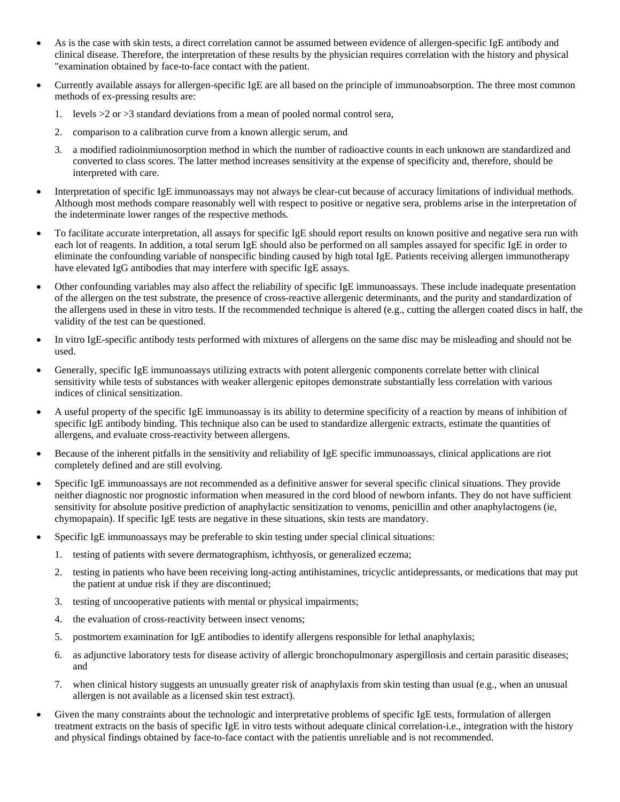- As is the case with skin tests, a direct correlation cannot be assumed between evidence of allergen-specific IgE antibody and clinical disease. Therefore, the interpretation of these results by the physician requires correlation with the history and physical "examination obtained by face-to-face contact with the patient.
- Currently available assays for allergen-specific IgE are all based on the principle of immunoabsorption. The three most common methods of ex-pressing results are:
	- 1. levels  $>2$  or  $>3$  standard deviations from a mean of pooled normal control sera,
	- 2. comparison to a calibration curve from a known allergic serum, and
	- 3. a modified radioinmiunosorption method in which the number of radioactive counts in each unknown are standardized and converted to class scores. The latter method increases sensitivity at the expense of specificity and, therefore, should be interpreted with care.
- Interpretation of specific IgE immunoassays may not always be clear-cut because of accuracy limitations of individual methods. Although most methods compare reasonably well with respect to positive or negative sera, problems arise in the interpretation of the indeterminate lower ranges of the respective methods.
- To facilitate accurate interpretation, all assays for specific IgE should report results on known positive and negative sera run with each lot of reagents. In addition, a total serum IgE should also be performed on all samples assayed for specific IgE in order to eliminate the confounding variable of nonspecific binding caused by high total IgE. Patients receiving allergen immunotherapy have elevated IgG antibodies that may interfere with specific IgE assays.
- Other confounding variables may also affect the reliability of specific IgE immunoassays. These include inadequate presentation of the allergen on the test substrate, the presence of cross-reactive allergenic determinants, and the purity and standardization of the allergens used in these in vitro tests. If the recommended technique is altered (e.g., cutting the allergen coated discs in half, the validity of the test can be questioned.
- In vitro IgE-specific antibody tests performed with mixtures of allergens on the same disc may be misleading and should not be used.
- Generally, specific IgE immunoassays utilizing extracts with potent allergenic components correlate better with clinical sensitivity while tests of substances with weaker allergenic epitopes demonstrate substantially less correlation with various indices of clinical sensitization.
- A useful property of the specific IgE immunoassay is its ability to determine specificity of a reaction by means of inhibition of specific IgE antibody binding. This technique also can be used to standardize allergenic extracts, estimate the quantities of allergens, and evaluate cross-reactivity between allergens.
- Because of the inherent pitfalls in the sensitivity and reliability of IgE specific immunoassays, clinical applications are riot completely defined and are still evolving.
- Specific IgE immunoassays are not recommended as a definitive answer for several specific clinical situations. They provide neither diagnostic nor prognostic information when measured in the cord blood of newborn infants. They do not have sufficient sensitivity for absolute positive prediction of anaphylactic sensitization to venoms, penicillin and other anaphylactogens (ie, chymopapain). If specific IgE tests are negative in these situations, skin tests are mandatory.
- Specific IgE immunoassays may be preferable to skin testing under special clinical situations:
	- 1. testing of patients with severe dermatographism, ichthyosis, or generalized eczema;
	- 2. testing in patients who have been receiving long-acting antihistamines, tricyclic antidepressants, or medications that may put the patient at undue risk if they are discontinued;
	- 3. testing of uncooperative patients with mental or physical impairments;
	- 4. the evaluation of cross-reactivity between insect venoms;
	- 5. postmortem examination for IgE antibodies to identify allergens responsible for lethal anaphylaxis;
	- 6. as adjunctive laboratory tests for disease activity of allergic bronchopulmonary aspergillosis and certain parasitic diseases; and
	- 7. when clinical history suggests an unusually greater risk of anaphylaxis from skin testing than usual (e.g., when an unusual allergen is not available as a licensed skin test extract).
- Given the many constraints about the technologic and interpretative problems of specific IgE tests, formulation of allergen treatment extracts on the basis of specific IgE in vitro tests without adequate clinical correlation-i.e., integration with the history and physical findings obtained by face-to-face contact with the patientis unreliable and is not recommended.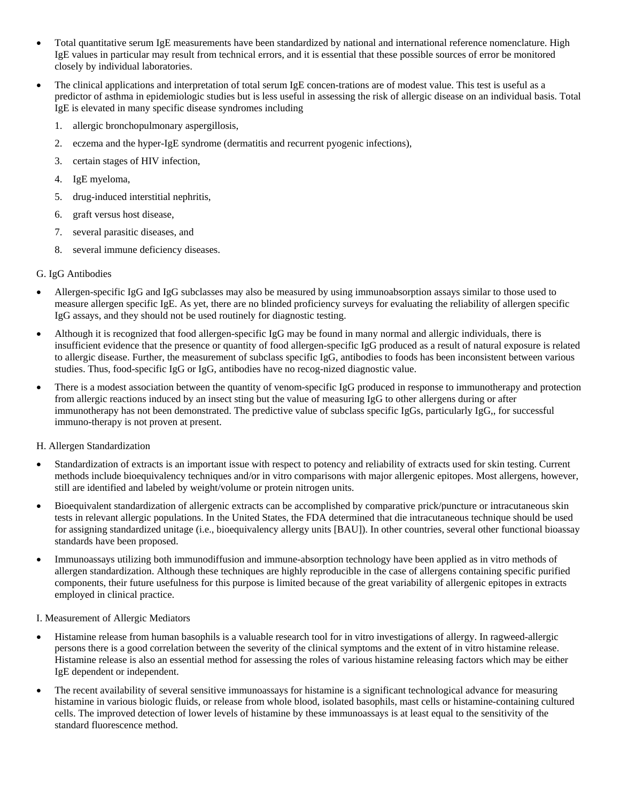- Total quantitative serum IgE measurements have been standardized by national and international reference nomenclature. High IgE values in particular may result from technical errors, and it is essential that these possible sources of error be monitored closely by individual laboratories.
- The clinical applications and interpretation of total serum IgE concen-trations are of modest value. This test is useful as a predictor of asthma in epidemiologic studies but is less useful in assessing the risk of allergic disease on an individual basis. Total IgE is elevated in many specific disease syndromes including
	- 1. allergic bronchopulmonary aspergillosis,
	- 2. eczema and the hyper-IgE syndrome (dermatitis and recurrent pyogenic infections),
	- 3. certain stages of HIV infection,
	- 4. IgE myeloma,
	- 5. drug-induced interstitial nephritis,
	- 6. graft versus host disease,
	- 7. several parasitic diseases, and
	- 8. several immune deficiency diseases.

# G. IgG Antibodies

- Allergen-specific IgG and IgG subclasses may also be measured by using immunoabsorption assays similar to those used to measure allergen specific IgE. As yet, there are no blinded proficiency surveys for evaluating the reliability of allergen specific IgG assays, and they should not be used routinely for diagnostic testing.
- Although it is recognized that food allergen-specific IgG may be found in many normal and allergic individuals, there is insufficient evidence that the presence or quantity of food allergen-specific IgG produced as a result of natural exposure is related to allergic disease. Further, the measurement of subclass specific IgG, antibodies to foods has been inconsistent between various studies. Thus, food-specific IgG or IgG, antibodies have no recog-nized diagnostic value.
- There is a modest association between the quantity of venom-specific IgG produced in response to immunotherapy and protection from allergic reactions induced by an insect sting but the value of measuring IgG to other allergens during or after immunotherapy has not been demonstrated. The predictive value of subclass specific IgGs, particularly IgG,, for successful immuno-therapy is not proven at present.

#### H. Allergen Standardization

- Standardization of extracts is an important issue with respect to potency and reliability of extracts used for skin testing. Current methods include bioequivalency techniques and/or in vitro comparisons with major allergenic epitopes. Most allergens, however, still are identified and labeled by weight/volume or protein nitrogen units.
- Bioequivalent standardization of allergenic extracts can be accomplished by comparative prick/puncture or intracutaneous skin tests in relevant allergic populations. In the United States, the FDA determined that die intracutaneous technique should be used for assigning standardized unitage (i.e., bioequivalency allergy units [BAU]). In other countries, several other functional bioassay standards have been proposed.
- Immunoassays utilizing both immunodiffusion and immune-absorption technology have been applied as in vitro methods of allergen standardization. Although these techniques are highly reproducible in the case of allergens containing specific purified components, their future usefulness for this purpose is limited because of the great variability of allergenic epitopes in extracts employed in clinical practice.

#### I. Measurement of Allergic Mediators

- Histamine release from human basophils is a valuable research tool for in vitro investigations of allergy. In ragweed-allergic persons there is a good correlation between the severity of the clinical symptoms and the extent of in vitro histamine release. Histamine release is also an essential method for assessing the roles of various histamine releasing factors which may be either IgE dependent or independent.
- The recent availability of several sensitive immunoassays for histamine is a significant technological advance for measuring histamine in various biologic fluids, or release from whole blood, isolated basophils, mast cells or histamine-containing cultured cells. The improved detection of lower levels of histamine by these immunoassays is at least equal to the sensitivity of the standard fluorescence method.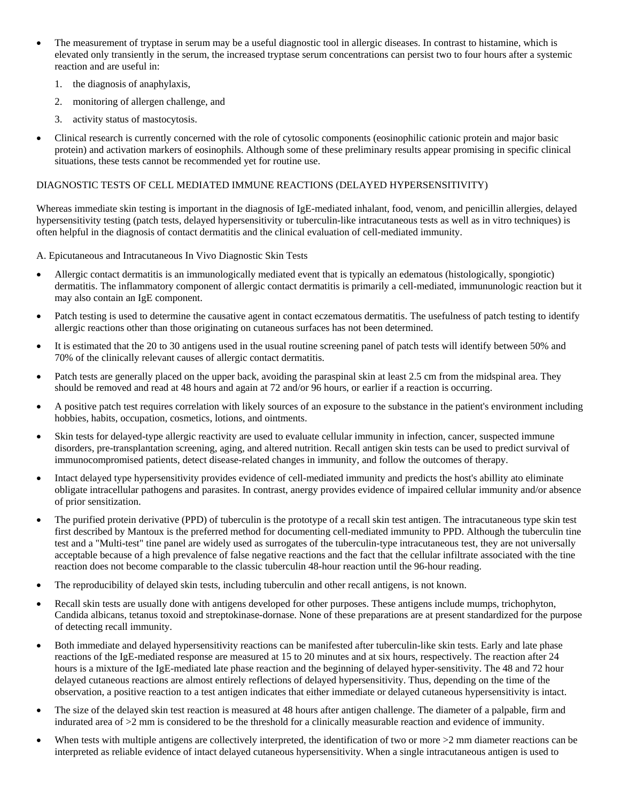- The measurement of tryptase in serum may be a useful diagnostic tool in allergic diseases. In contrast to histamine, which is elevated only transiently in the serum, the increased tryptase serum concentrations can persist two to four hours after a systemic reaction and are useful in:
	- 1. the diagnosis of anaphylaxis,
	- 2. monitoring of allergen challenge, and
	- 3. activity status of mastocytosis.
- Clinical research is currently concerned with the role of cytosolic components (eosinophilic cationic protein and major basic protein) and activation markers of eosinophils. Although some of these preliminary results appear promising in specific clinical situations, these tests cannot be recommended yet for routine use.

## DIAGNOSTIC TESTS OF CELL MEDIATED IMMUNE REACTIONS (DELAYED HYPERSENSITIVITY)

Whereas immediate skin testing is important in the diagnosis of IgE-mediated inhalant, food, venom, and penicillin allergies, delayed hypersensitivity testing (patch tests, delayed hypersensitivity or tuberculin-like intracutaneous tests as well as in vitro techniques) is often helpful in the diagnosis of contact dermatitis and the clinical evaluation of cell-mediated immunity.

A. Epicutaneous and Intracutaneous In Vivo Diagnostic Skin Tests

- Allergic contact dermatitis is an immunologically mediated event that is typically an edematous (histologically, spongiotic) dermatitis. The inflammatory component of allergic contact dermatitis is primarily a cell-mediated, immununologic reaction but it may also contain an IgE component.
- Patch testing is used to determine the causative agent in contact eczematous dermatitis. The usefulness of patch testing to identify allergic reactions other than those originating on cutaneous surfaces has not been determined.
- It is estimated that the 20 to 30 antigens used in the usual routine screening panel of patch tests will identify between 50% and 70% of the clinically relevant causes of allergic contact dermatitis.
- Patch tests are generally placed on the upper back, avoiding the paraspinal skin at least 2.5 cm from the midspinal area. They should be removed and read at 48 hours and again at 72 and/or 96 hours, or earlier if a reaction is occurring.
- A positive patch test requires correlation with likely sources of an exposure to the substance in the patient's environment including hobbies, habits, occupation, cosmetics, lotions, and ointments.
- Skin tests for delayed-type allergic reactivity are used to evaluate cellular immunity in infection, cancer, suspected immune disorders, pre-transplantation screening, aging, and altered nutrition. Recall antigen skin tests can be used to predict survival of immunocompromised patients, detect disease-related changes in immunity, and follow the outcomes of therapy.
- Intact delayed type hypersensitivity provides evidence of cell-mediated immunity and predicts the host's abillity ato eliminate obligate intracellular pathogens and parasites. In contrast, anergy provides evidence of impaired cellular immunity and/or absence of prior sensitization.
- The purified protein derivative (PPD) of tuberculin is the prototype of a recall skin test antigen. The intracutaneous type skin test first described by Mantoux is the preferred method for documenting cell-mediated immunity to PPD. Although the tuberculin tine test and a "Multi-test" tine panel are widely used as surrogates of the tuberculin-type intracutaneous test, they are not universally acceptable because of a high prevalence of false negative reactions and the fact that the cellular infiltrate associated with the tine reaction does not become comparable to the classic tuberculin 48-hour reaction until the 96-hour reading.
- The reproducibility of delayed skin tests, including tuberculin and other recall antigens, is not known.
- Recall skin tests are usually done with antigens developed for other purposes. These antigens include mumps, trichophyton, Candida albicans, tetanus toxoid and streptokinase-dornase. None of these preparations are at present standardized for the purpose of detecting recall immunity.
- Both immediate and delayed hypersensitivity reactions can be manifested after tuberculin-like skin tests. Early and late phase reactions of the IgE-mediated response are measured at 15 to 20 minutes and at six hours, respectively. The reaction after 24 hours is a mixture of the IgE-mediated late phase reaction and the beginning of delayed hyper-sensitivity. The 48 and 72 hour delayed cutaneous reactions are almost entirely reflections of delayed hypersensitivity. Thus, depending on the time of the observation, a positive reaction to a test antigen indicates that either immediate or delayed cutaneous hypersensitivity is intact.
- The size of the delayed skin test reaction is measured at 48 hours after antigen challenge. The diameter of a palpable, firm and indurated area of >2 mm is considered to be the threshold for a clinically measurable reaction and evidence of immunity.
- When tests with multiple antigens are collectively interpreted, the identification of two or more  $>2$  mm diameter reactions can be interpreted as reliable evidence of intact delayed cutaneous hypersensitivity. When a single intracutaneous antigen is used to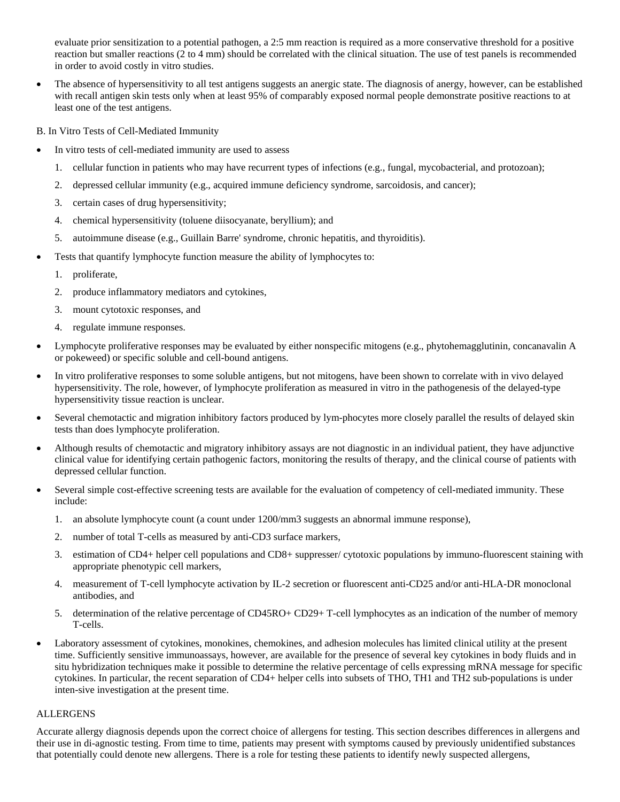evaluate prior sensitization to a potential pathogen, a 2:5 mm reaction is required as a more conservative threshold for a positive reaction but smaller reactions (2 to 4 mm) should be correlated with the clinical situation. The use of test panels is recommended in order to avoid costly in vitro studies.

• The absence of hypersensitivity to all test antigens suggests an anergic state. The diagnosis of anergy, however, can be established with recall antigen skin tests only when at least 95% of comparably exposed normal people demonstrate positive reactions to at least one of the test antigens.

B. In Vitro Tests of Cell-Mediated Immunity

- In vitro tests of cell-mediated immunity are used to assess
	- 1. cellular function in patients who may have recurrent types of infections (e.g., fungal, mycobacterial, and protozoan);
	- 2. depressed cellular immunity (e.g., acquired immune deficiency syndrome, sarcoidosis, and cancer);
	- 3. certain cases of drug hypersensitivity;
	- 4. chemical hypersensitivity (toluene diisocyanate, beryllium); and
	- 5. autoimmune disease (e.g., Guillain Barre' syndrome, chronic hepatitis, and thyroiditis).
- Tests that quantify lymphocyte function measure the ability of lymphocytes to:
	- 1. proliferate,
	- 2. produce inflammatory mediators and cytokines,
	- 3. mount cytotoxic responses, and
	- 4. regulate immune responses.
- Lymphocyte proliferative responses may be evaluated by either nonspecific mitogens (e.g., phytohemagglutinin, concanavalin A or pokeweed) or specific soluble and cell-bound antigens.
- In vitro proliferative responses to some soluble antigens, but not mitogens, have been shown to correlate with in vivo delayed hypersensitivity. The role, however, of lymphocyte proliferation as measured in vitro in the pathogenesis of the delayed-type hypersensitivity tissue reaction is unclear.
- Several chemotactic and migration inhibitory factors produced by lym-phocytes more closely parallel the results of delayed skin tests than does lymphocyte proliferation.
- Although results of chemotactic and migratory inhibitory assays are not diagnostic in an individual patient, they have adjunctive clinical value for identifying certain pathogenic factors, monitoring the results of therapy, and the clinical course of patients with depressed cellular function.
- Several simple cost-effective screening tests are available for the evaluation of competency of cell-mediated immunity. These include:
	- 1. an absolute lymphocyte count (a count under 1200/mm3 suggests an abnormal immune response),
	- 2. number of total T-cells as measured by anti-CD3 surface markers,
	- 3. estimation of CD4+ helper cell populations and CD8+ suppresser/ cytotoxic populations by immuno-fluorescent staining with appropriate phenotypic cell markers,
	- 4. measurement of T-cell lymphocyte activation by IL-2 secretion or fluorescent anti-CD25 and/or anti-HLA-DR monoclonal antibodies, and
	- 5. determination of the relative percentage of CD45RO+ CD29+ T-cell lymphocytes as an indication of the number of memory T-cells.
- Laboratory assessment of cytokines, monokines, chemokines, and adhesion molecules has limited clinical utility at the present time. Sufficiently sensitive immunoassays, however, are available for the presence of several key cytokines in body fluids and in situ hybridization techniques make it possible to determine the relative percentage of cells expressing mRNA message for specific cytokines. In particular, the recent separation of CD4+ helper cells into subsets of THO, TH1 and TH2 sub-populations is under inten-sive investigation at the present time.

## ALLERGENS

Accurate allergy diagnosis depends upon the correct choice of allergens for testing. This section describes differences in allergens and their use in di-agnostic testing. From time to time, patients may present with symptoms caused by previously unidentified substances that potentially could denote new allergens. There is a role for testing these patients to identify newly suspected allergens,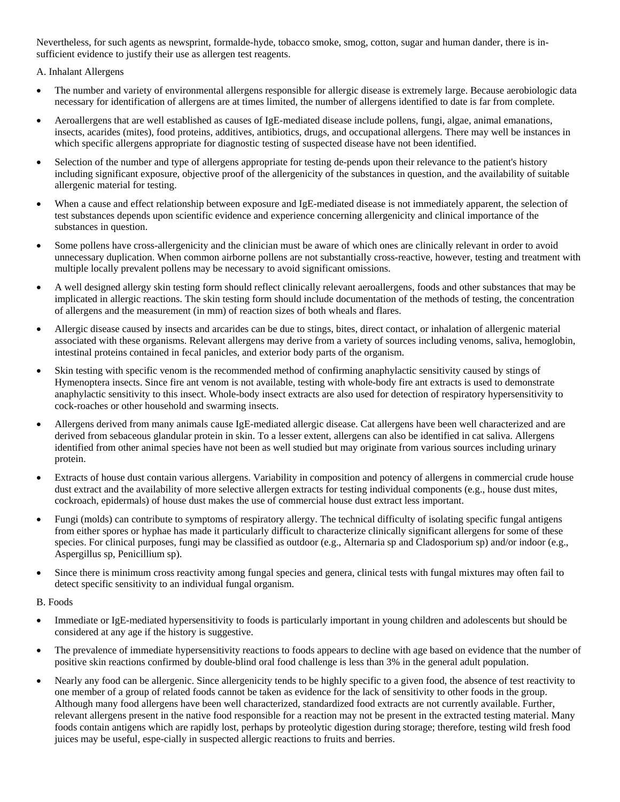Nevertheless, for such agents as newsprint, formalde-hyde, tobacco smoke, smog, cotton, sugar and human dander, there is insufficient evidence to justify their use as allergen test reagents.

A. Inhalant Allergens

- The number and variety of environmental allergens responsible for allergic disease is extremely large. Because aerobiologic data necessary for identification of allergens are at times limited, the number of allergens identified to date is far from complete.
- Aeroallergens that are well established as causes of IgE-mediated disease include pollens, fungi, algae, animal emanations, insects, acarides (mites), food proteins, additives, antibiotics, drugs, and occupational allergens. There may well be instances in which specific allergens appropriate for diagnostic testing of suspected disease have not been identified.
- Selection of the number and type of allergens appropriate for testing de-pends upon their relevance to the patient's history including significant exposure, objective proof of the allergenicity of the substances in question, and the availability of suitable allergenic material for testing.
- When a cause and effect relationship between exposure and IgE-mediated disease is not immediately apparent, the selection of test substances depends upon scientific evidence and experience concerning allergenicity and clinical importance of the substances in question.
- Some pollens have cross-allergenicity and the clinician must be aware of which ones are clinically relevant in order to avoid unnecessary duplication. When common airborne pollens are not substantially cross-reactive, however, testing and treatment with multiple locally prevalent pollens may be necessary to avoid significant omissions.
- A well designed allergy skin testing form should reflect clinically relevant aeroallergens, foods and other substances that may be implicated in allergic reactions. The skin testing form should include documentation of the methods of testing, the concentration of allergens and the measurement (in mm) of reaction sizes of both wheals and flares.
- Allergic disease caused by insects and arcarides can be due to stings, bites, direct contact, or inhalation of allergenic material associated with these organisms. Relevant allergens may derive from a variety of sources including venoms, saliva, hemoglobin, intestinal proteins contained in fecal panicles, and exterior body parts of the organism.
- Skin testing with specific venom is the recommended method of confirming anaphylactic sensitivity caused by stings of Hymenoptera insects. Since fire ant venom is not available, testing with whole-body fire ant extracts is used to demonstrate anaphylactic sensitivity to this insect. Whole-body insect extracts are also used for detection of respiratory hypersensitivity to cock-roaches or other household and swarming insects.
- Allergens derived from many animals cause IgE-mediated allergic disease. Cat allergens have been well characterized and are derived from sebaceous glandular protein in skin. To a lesser extent, allergens can also be identified in cat saliva. Allergens identified from other animal species have not been as well studied but may originate from various sources including urinary protein.
- Extracts of house dust contain various allergens. Variability in composition and potency of allergens in commercial crude house dust extract and the availability of more selective allergen extracts for testing individual components (e.g., house dust mites, cockroach, epidermals) of house dust makes the use of commercial house dust extract less important.
- Fungi (molds) can contribute to symptoms of respiratory allergy. The technical difficulty of isolating specific fungal antigens from either spores or hyphae has made it particularly difficult to characterize clinically significant allergens for some of these species. For clinical purposes, fungi may be classified as outdoor (e.g., Alternaria sp and Cladosporium sp) and/or indoor (e.g., Aspergillus sp, Penicillium sp).
- Since there is minimum cross reactivity among fungal species and genera, clinical tests with fungal mixtures may often fail to detect specific sensitivity to an individual fungal organism.

B. Foods

- Immediate or IgE-mediated hypersensitivity to foods is particularly important in young children and adolescents but should be considered at any age if the history is suggestive.
- The prevalence of immediate hypersensitivity reactions to foods appears to decline with age based on evidence that the number of positive skin reactions confirmed by double-blind oral food challenge is less than 3% in the general adult population.
- Nearly any food can be allergenic. Since allergenicity tends to be highly specific to a given food, the absence of test reactivity to one member of a group of related foods cannot be taken as evidence for the lack of sensitivity to other foods in the group. Although many food allergens have been well characterized, standardized food extracts are not currently available. Further, relevant allergens present in the native food responsible for a reaction may not be present in the extracted testing material. Many foods contain antigens which are rapidly lost, perhaps by proteolytic digestion during storage; therefore, testing wild fresh food juices may be useful, espe-cially in suspected allergic reactions to fruits and berries.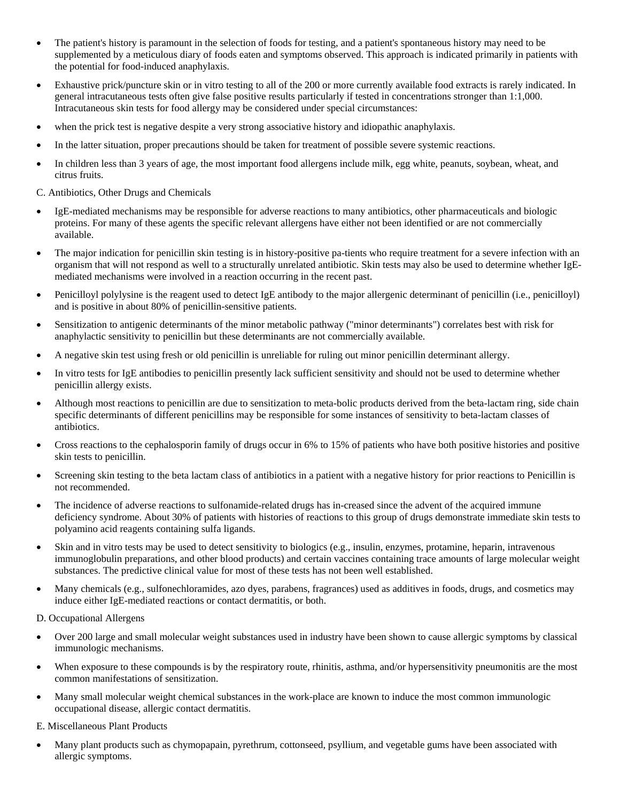- The patient's history is paramount in the selection of foods for testing, and a patient's spontaneous history may need to be supplemented by a meticulous diary of foods eaten and symptoms observed. This approach is indicated primarily in patients with the potential for food-induced anaphylaxis.
- Exhaustive prick/puncture skin or in vitro testing to all of the 200 or more currently available food extracts is rarely indicated. In general intracutaneous tests often give false positive results particularly if tested in concentrations stronger than 1:1,000. Intracutaneous skin tests for food allergy may be considered under special circumstances:
- when the prick test is negative despite a very strong associative history and idiopathic anaphylaxis.
- In the latter situation, proper precautions should be taken for treatment of possible severe systemic reactions.
- In children less than 3 years of age, the most important food allergens include milk, egg white, peanuts, soybean, wheat, and citrus fruits.

C. Antibiotics, Other Drugs and Chemicals

- IgE-mediated mechanisms may be responsible for adverse reactions to many antibiotics, other pharmaceuticals and biologic proteins. For many of these agents the specific relevant allergens have either not been identified or are not commercially available.
- The major indication for penicillin skin testing is in history-positive pa-tients who require treatment for a severe infection with an organism that will not respond as well to a structurally unrelated antibiotic. Skin tests may also be used to determine whether IgEmediated mechanisms were involved in a reaction occurring in the recent past.
- Penicilloyl polylysine is the reagent used to detect IgE antibody to the major allergenic determinant of penicillin (i.e., penicilloyl) and is positive in about 80% of penicillin-sensitive patients.
- Sensitization to antigenic determinants of the minor metabolic pathway ("minor determinants") correlates best with risk for anaphylactic sensitivity to penicillin but these determinants are not commercially available.
- A negative skin test using fresh or old penicillin is unreliable for ruling out minor penicillin determinant allergy.
- In vitro tests for IgE antibodies to penicillin presently lack sufficient sensitivity and should not be used to determine whether penicillin allergy exists.
- Although most reactions to penicillin are due to sensitization to meta-bolic products derived from the beta-lactam ring, side chain specific determinants of different penicillins may be responsible for some instances of sensitivity to beta-lactam classes of antibiotics.
- Cross reactions to the cephalosporin family of drugs occur in 6% to 15% of patients who have both positive histories and positive skin tests to penicillin.
- Screening skin testing to the beta lactam class of antibiotics in a patient with a negative history for prior reactions to Penicillin is not recommended.
- The incidence of adverse reactions to sulfonamide-related drugs has in-creased since the advent of the acquired immune deficiency syndrome. About 30% of patients with histories of reactions to this group of drugs demonstrate immediate skin tests to polyamino acid reagents containing sulfa ligands.
- Skin and in vitro tests may be used to detect sensitivity to biologics (e.g., insulin, enzymes, protamine, heparin, intravenous immunoglobulin preparations, and other blood products) and certain vaccines containing trace amounts of large molecular weight substances. The predictive clinical value for most of these tests has not been well established.
- Many chemicals (e.g., sulfonechloramides, azo dyes, parabens, fragrances) used as additives in foods, drugs, and cosmetics may induce either IgE-mediated reactions or contact dermatitis, or both.

D. Occupational Allergens

- Over 200 large and small molecular weight substances used in industry have been shown to cause allergic symptoms by classical immunologic mechanisms.
- When exposure to these compounds is by the respiratory route, rhinitis, asthma, and/or hypersensitivity pneumonitis are the most common manifestations of sensitization.
- Many small molecular weight chemical substances in the work-place are known to induce the most common immunologic occupational disease, allergic contact dermatitis.

E. Miscellaneous Plant Products

• Many plant products such as chymopapain, pyrethrum, cottonseed, psyllium, and vegetable gums have been associated with allergic symptoms.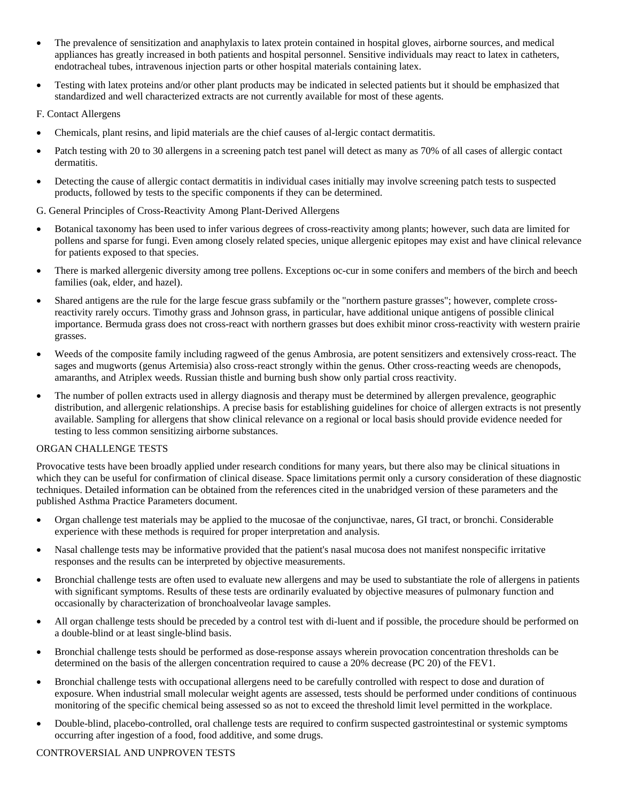- The prevalence of sensitization and anaphylaxis to latex protein contained in hospital gloves, airborne sources, and medical appliances has greatly increased in both patients and hospital personnel. Sensitive individuals may react to latex in catheters, endotracheal tubes, intravenous injection parts or other hospital materials containing latex.
- Testing with latex proteins and/or other plant products may be indicated in selected patients but it should be emphasized that standardized and well characterized extracts are not currently available for most of these agents.

#### F. Contact Allergens

- Chemicals, plant resins, and lipid materials are the chief causes of al-lergic contact dermatitis.
- Patch testing with 20 to 30 allergens in a screening patch test panel will detect as many as 70% of all cases of allergic contact dermatitis.
- Detecting the cause of allergic contact dermatitis in individual cases initially may involve screening patch tests to suspected products, followed by tests to the specific components if they can be determined.

#### G. General Principles of Cross-Reactivity Among Plant-Derived Allergens

- Botanical taxonomy has been used to infer various degrees of cross-reactivity among plants; however, such data are limited for pollens and sparse for fungi. Even among closely related species, unique allergenic epitopes may exist and have clinical relevance for patients exposed to that species.
- There is marked allergenic diversity among tree pollens. Exceptions oc-cur in some conifers and members of the birch and beech families (oak, elder, and hazel).
- Shared antigens are the rule for the large fescue grass subfamily or the "northern pasture grasses"; however, complete crossreactivity rarely occurs. Timothy grass and Johnson grass, in particular, have additional unique antigens of possible clinical importance. Bermuda grass does not cross-react with northern grasses but does exhibit minor cross-reactivity with western prairie grasses.
- Weeds of the composite family including ragweed of the genus Ambrosia, are potent sensitizers and extensively cross-react. The sages and mugworts (genus Artemisia) also cross-react strongly within the genus. Other cross-reacting weeds are chenopods, amaranths, and Atriplex weeds. Russian thistle and burning bush show only partial cross reactivity.
- The number of pollen extracts used in allergy diagnosis and therapy must be determined by allergen prevalence, geographic distribution, and allergenic relationships. A precise basis for establishing guidelines for choice of allergen extracts is not presently available. Sampling for allergens that show clinical relevance on a regional or local basis should provide evidence needed for testing to less common sensitizing airborne substances.

#### ORGAN CHALLENGE TESTS

Provocative tests have been broadly applied under research conditions for many years, but there also may be clinical situations in which they can be useful for confirmation of clinical disease. Space limitations permit only a cursory consideration of these diagnostic techniques. Detailed information can be obtained from the references cited in the unabridged version of these parameters and the published Asthma Practice Parameters document.

- Organ challenge test materials may be applied to the mucosae of the conjunctivae, nares, GI tract, or bronchi. Considerable experience with these methods is required for proper interpretation and analysis.
- Nasal challenge tests may be informative provided that the patient's nasal mucosa does not manifest nonspecific irritative responses and the results can be interpreted by objective measurements.
- Bronchial challenge tests are often used to evaluate new allergens and may be used to substantiate the role of allergens in patients with significant symptoms. Results of these tests are ordinarily evaluated by objective measures of pulmonary function and occasionally by characterization of bronchoalveolar lavage samples.
- All organ challenge tests should be preceded by a control test with di-luent and if possible, the procedure should be performed on a double-blind or at least single-blind basis.
- Bronchial challenge tests should be performed as dose-response assays wherein provocation concentration thresholds can be determined on the basis of the allergen concentration required to cause a 20% decrease (PC 20) of the FEV1.
- Bronchial challenge tests with occupational allergens need to be carefully controlled with respect to dose and duration of exposure. When industrial small molecular weight agents are assessed, tests should be performed under conditions of continuous monitoring of the specific chemical being assessed so as not to exceed the threshold limit level permitted in the workplace.
- Double-blind, placebo-controlled, oral challenge tests are required to confirm suspected gastrointestinal or systemic symptoms occurring after ingestion of a food, food additive, and some drugs.

#### CONTROVERSIAL AND UNPROVEN TESTS